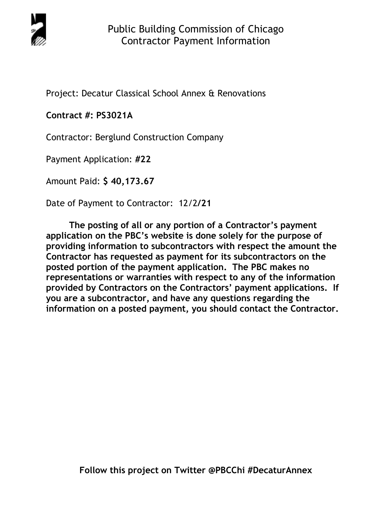

Project: Decatur Classical School Annex & Renovations

# **Contract #: PS3021A**

Contractor: Berglund Construction Company

Payment Application: **#22** 

Amount Paid: **\$ 40,173.67** 

Date of Payment to Contractor: 12/2**/21** 

**The posting of all or any portion of a Contractor's payment application on the PBC's website is done solely for the purpose of providing information to subcontractors with respect the amount the Contractor has requested as payment for its subcontractors on the posted portion of the payment application. The PBC makes no representations or warranties with respect to any of the information provided by Contractors on the Contractors' payment applications. If you are a subcontractor, and have any questions regarding the information on a posted payment, you should contact the Contractor.**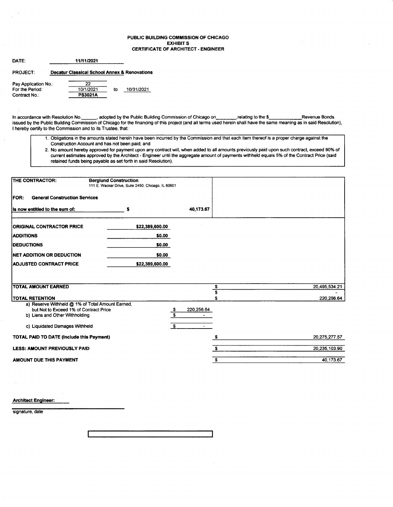#### PUBLIC BUILDING COMMISSION OF CHICAGO EXHIBIT S CERTIFICATE OF ARCHITECT - ENGINEER

| DATE:                                                    |                                                         |    |            |
|----------------------------------------------------------|---------------------------------------------------------|----|------------|
| PROJECT:                                                 | <b>Decatur Classical School Annex &amp; Renovations</b> |    |            |
| Pay Application No.:<br>For the Period:<br>Contract No.: | つつ<br>10/1/2021<br><b>PS3021A</b>                       | to | 10/31/2021 |

In accordance with Resolution No. \_\_\_\_\_\_, adopted by the Public Building Commission of Chicago on\_\_\_\_\_\_\_\_\_relating to the \$\_\_\_\_\_\_\_\_\_\_\_\_\_Revenue Bonds issued by the Public Building Commission of Chicago for the financing of this proiect (and all terms used herein shall have the same meaning as in said Resolution), I hereby certify to the Commission and to its Trustee, that:

- 1. Obligations in the amounts stated herein have been incurred by the Commission and that each item thereof is a proper charge against the Construction Account and has not been paid; and
- 2. No amount hereby approved for payment upon any contract will, when added to all amounts previously paid upon such contract, exceed 90% of cunent estimates approved by the Architect - Engineer until the aggregate amount of payments withheld equals 5% of the Contract Price (said retained funds being payable as set forth in said Resolution).

| <b>THE CONTRACTOR:</b>                                                                                                                                         | <b>Berglund Construction</b><br>111 E. Wacker Drive, Suite 2450, Chicago, IL 60601 |                                             |               |
|----------------------------------------------------------------------------------------------------------------------------------------------------------------|------------------------------------------------------------------------------------|---------------------------------------------|---------------|
| <b>FOR:</b><br><b>General Construction Services</b>                                                                                                            |                                                                                    |                                             |               |
| Is now entitled to the sum of:                                                                                                                                 | s                                                                                  | 40,173.67                                   |               |
| <b>ORIGINAL CONTRACTOR PRICE</b>                                                                                                                               | \$22,389,600.00                                                                    |                                             |               |
| <b>ADDITIONS</b>                                                                                                                                               | \$0.00                                                                             |                                             |               |
| <b>IDEDUCTIONS</b>                                                                                                                                             | \$0.00                                                                             |                                             |               |
| NET ADDITION OR DEDUCTION                                                                                                                                      | \$0.00                                                                             |                                             |               |
| <b>ADJUSTED CONTRACT PRICE</b>                                                                                                                                 | \$22,389,600.00                                                                    |                                             |               |
|                                                                                                                                                                |                                                                                    |                                             |               |
| <b>TOTAL AMOUNT EARNED</b>                                                                                                                                     |                                                                                    | \$                                          | 20,495,534.21 |
| <b>TOTAL RETENTION</b>                                                                                                                                         |                                                                                    | \$                                          | 220,256.64    |
| a) Reserve Withheld @ 1% of Total Amount Earned,<br>but Not to Exceed 1% of Contract Price<br>b) Liens and Other Withholding<br>c) Liquidated Damages Withheld |                                                                                    | 220,256.64<br>$rac{3}{s}$<br>- \$<br>$\sim$ |               |
| TOTAL PAID TO DATE (Include this Payment)                                                                                                                      |                                                                                    |                                             | 20,275,277.57 |
| <b>LESS: AMOUNT PREVIOUSLY PAID</b>                                                                                                                            |                                                                                    | s.                                          | 20,235,103.90 |
| <b>AMOUNT DUE THIS PAYMENT</b>                                                                                                                                 |                                                                                    | S                                           | 40,173.67     |

Architect Engineer:

signature, date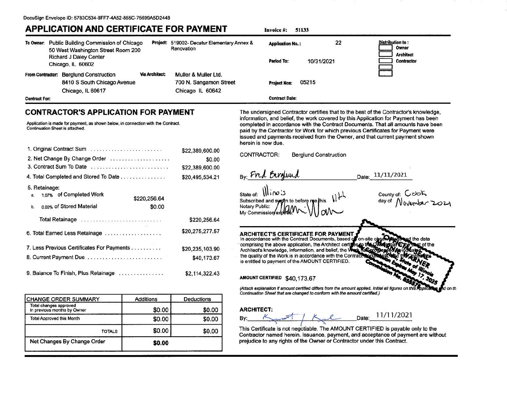# **APPLICATION AND CERTIFICATE FOR PAYMENT**

| To Owner: Public Building Commission of Chicago<br>50 West Washington Street Room 200 |                                                                                  | Project: 519002- Decatur Elementary Annex &<br>Renovation |                                                                    | <b>Application No.:</b> | 22         | <b>Distribution to:</b><br>Owner |
|---------------------------------------------------------------------------------------|----------------------------------------------------------------------------------|-----------------------------------------------------------|--------------------------------------------------------------------|-------------------------|------------|----------------------------------|
|                                                                                       | <b>Richard J Daley Center</b><br>Chicago, IL 60602                               |                                                           |                                                                    | Period To:              | 10/31/2021 | <b>Architect</b><br>Contractor   |
| <b>From Contractor:</b>                                                               | <b>Berglund Construction</b><br>8410 S South Chicago Avenue<br>Chicago, IL 60617 | <b>Via Architect:</b>                                     | Muller & Muller Ltd.<br>700 N. Sangamon Street<br>Chicago IL 60642 | <b>Project Nos:</b>     | 05215      |                                  |
| <b>Contract For:</b>                                                                  |                                                                                  |                                                           |                                                                    | <b>Contract Date:</b>   |            |                                  |

Invoice #: 51133

## **CONTRACTOR'S APPLICATION FOR PAYMENT**

Application is made for payment, as shown below, in connection with the Contract. Continuation Sheet is attached.

| 1. Original Contract Sum                      | \$22,389,600.00 |
|-----------------------------------------------|-----------------|
| 2. Net Change By Change Order                 | \$0.00          |
| 3. Contract Sum To Date                       | \$22,389,600.00 |
| 4. Total Completed and Stored To Date         | \$20,495,534.21 |
| 5. Retainage:                                 |                 |
| 1.07% of Completed Work<br>a.<br>\$220,256.64 |                 |
| 0.00% of Stored Material<br>\$0.00<br>b.      |                 |
| Total Retainage                               | \$220,256.64    |
| 6. Total Earned Less Retainage                | \$20,275,277.57 |
| 7. Less Previous Certificates For Payments    | \$20,235,103.90 |
| 8. Current Payment Due                        | \$40,173.67     |
| 9. Balance To Finish, Plus Retainage          | \$2.114.322.43  |

| <b>CHANGE ORDER SUMMARY</b>                           | Additions | Deductions |
|-------------------------------------------------------|-----------|------------|
| Total changes approved<br>in previous months by Owner | \$0.00    | \$0.00     |
| <b>Total Approved this Month</b>                      | \$0.00    | \$0.00     |
| <b>TOTALS</b>                                         | \$0.00    | \$0.00     |
| Net Changes By Change Order                           | \$0.00    |            |

The undersigned Contractor certifies that to the best of the Contractor's knowledge. information, and belief, the work covered by this Application for Payment has been completed in accordance with the Contract Documents. That all amounts have been paid by the Contractor for Work for which previous Certificates for Payment were issued and payments received from the Owner, and that current payment shown herein is now due.



#### **ARCHITECT:**

11/11/2021 Date: Bv:

This Certificate is not negotiable. The AMOUNT CERTIFIED is payable only to the Contractor named herein. Issuance, payment, and acceptance of payment are without prejudice to any rights of the Owner or Contractor under this Contract.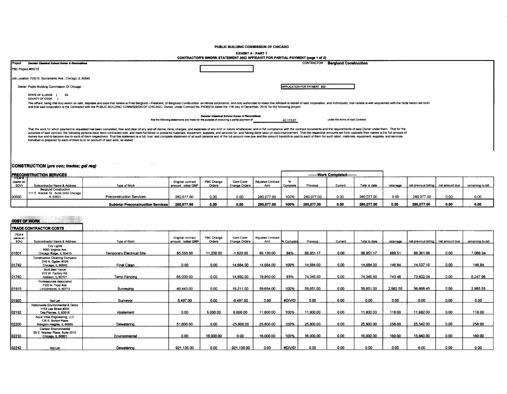PUBLIC BUILDING COMMISSION OF CHICAGO

**EXHIBIT A - PART 1** 

|                                                                                                                                                                                                                                                                                                                                                                                                                                                                                                                                                                                                                                                                                                                                                                                       | CONTRACTOR'S SWORN STATEMENT AND AFFIDAVIT FOR PARTIAL PAYMENT (page 1 of 2)                                                             |                             |                                   |
|---------------------------------------------------------------------------------------------------------------------------------------------------------------------------------------------------------------------------------------------------------------------------------------------------------------------------------------------------------------------------------------------------------------------------------------------------------------------------------------------------------------------------------------------------------------------------------------------------------------------------------------------------------------------------------------------------------------------------------------------------------------------------------------|------------------------------------------------------------------------------------------------------------------------------------------|-----------------------------|-----------------------------------|
| Decatur Classical School Annex & Renovations<br>Project                                                                                                                                                                                                                                                                                                                                                                                                                                                                                                                                                                                                                                                                                                                               |                                                                                                                                          | CONTRACTOR                  | <b>Berglund Construction</b>      |
| PBC Project #05215                                                                                                                                                                                                                                                                                                                                                                                                                                                                                                                                                                                                                                                                                                                                                                    |                                                                                                                                          |                             |                                   |
| Job Location 7030 N. Sacramento Ave., Chicago, IL 60645                                                                                                                                                                                                                                                                                                                                                                                                                                                                                                                                                                                                                                                                                                                               |                                                                                                                                          |                             |                                   |
| Owner Public Building Commission Of Chicago                                                                                                                                                                                                                                                                                                                                                                                                                                                                                                                                                                                                                                                                                                                                           |                                                                                                                                          | APPLICATION FOR PAYMENT #22 |                                   |
| STATE OF ILLINOIS }<br><b>SS</b><br>COUNTY OF COOK                                                                                                                                                                                                                                                                                                                                                                                                                                                                                                                                                                                                                                                                                                                                    |                                                                                                                                          |                             |                                   |
| The affiant, being first duly sworn on oath, deposes and says that he/she is Fred Berglund - President, of Berglund Construction, an illinois corporation, and duly authorized to make this Affidavit in behalf of said corpor<br>and that said corporation is the Contractor with the PUBLIC BUILDING COMMISSION OF CHICAGO, Owner, under Contract No. PS3021A dated the 11th day of December, 2019, for the following project:                                                                                                                                                                                                                                                                                                                                                      |                                                                                                                                          |                             |                                   |
|                                                                                                                                                                                                                                                                                                                                                                                                                                                                                                                                                                                                                                                                                                                                                                                       | Decatur Classical School Annex & Renovations<br>that the following statements are made for the purpose of procuring a partial payment of | 40,173.67                   | under the terms of said Contract: |
| That the work for which payment is requested has been completed, free and clear of any and all claims, liens, charges, and expenses of any kind or nature whatsoever, and in full compliance with the contract documents and t<br>purposes of said contract, the following persons have been contracted with, and have furnished or prepared materials, equipment, supplies, and services for, and having done labor on said improvement. That the respective am<br>money due and to become due to each of them respectively. That this statement is a full, true, and complete statement of all such persons and of the full amount now due and the amount heretofore paid to each of them for su<br>furnished or prepared by each of them to or on account of said work, as stated: |                                                                                                                                          |                             |                                   |
|                                                                                                                                                                                                                                                                                                                                                                                                                                                                                                                                                                                                                                                                                                                                                                                       |                                                                                                                                          |                             |                                   |

#### CONSTRUCTION (pre con; trades; get req)

a perdia composito della

| <b>IPRECONSTRUCTION SERVICES</b> |                                                                                                  |                                           |                                          |                             |                             |                                 |         | -------Work Completed-------- |        |               |           |                                       |      |                   |
|----------------------------------|--------------------------------------------------------------------------------------------------|-------------------------------------------|------------------------------------------|-----------------------------|-----------------------------|---------------------------------|---------|-------------------------------|--------|---------------|-----------|---------------------------------------|------|-------------------|
| — п⊵м≉<br>(same on<br>SOV)       | Subcontractor Name & Address                                                                     | Type of Work                              | Original contract<br>amount: initial GMP | <b>PBC Change</b><br>Orders | Genl Contr<br>Change Orders | <b>Adjusted Contract</b><br>Amt | Complet | Previous                      | Curren | Total to date | retainage | net previous billing   net amount due |      | remaining to bill |
| 100500                           | <b>Berglund Construction</b><br>1111 E. Wacker Dr., Suite 2450 Chicago, I<br>L 6060 <sup>.</sup> | <b>Preconstruction Services</b>           | 280.077.00                               | 0.00                        | 0.00                        | 280,077.00                      | 100%    | 280.077.00                    | 0.00   | 280.077.00    | 0.00      | 280.077.00                            | 0.00 | 0.00              |
|                                  |                                                                                                  | <b>Subtotal Preconstruction Services!</b> | 280,077.00                               | 0.00                        | 0.00                        | 280.077.00                      | 100%    | 280,077.00                    | 0.00   | 280.077.0     | 0.00      | 280,077.00                            | 0.00 | 0.00              |

### $\frac{1}{2}$

|                            | TRADE CONTRACTOR COSTS                                                              |                           |                                          |                      |                             |                                 |            |           |         |               |           |                                       |      |                   |
|----------------------------|-------------------------------------------------------------------------------------|---------------------------|------------------------------------------|----------------------|-----------------------------|---------------------------------|------------|-----------|---------|---------------|-----------|---------------------------------------|------|-------------------|
| ITEM #<br>(same on<br>SOV) | Subcontractor Name & Address                                                        | Type of Work              | Original contract<br>amount: initial GMP | PBC Change<br>Orders | Geni Contr<br>Change Orders | <b>Adjusted Contract</b><br>Amt | % Complete | Previous  | Current | Total to date | retainage | net previous billing   net amount due |      | remaining to bill |
| 101601                     | City Lights<br>9993 Virginia Ave.<br>Chicago Ridge, IL 60415                        | Temporary Electrical Site | 85.550.00                                | 11.200.00            | $-1.620.00$                 | 95.130.00                       | 94%        | 88.951.17 | 0.00    | 88,951.17     | 889.51    | 88.061.66                             | 0.00 | 7.068.34          |
| 101742                     | <b>Construction Cleaning Company</b><br>516 N. Ogden #129<br>Chicago, IL 60642      | Final Clean               | 0.00                                     | 0.00                 | 14,684.00                   | 14.684.00                       | 100%       | 14.684.00 | 0.00    | 14.684.00     | 146.84    | 14,537.16                             | 0.00 | 146.84            |
| 101760                     | <b>Built Best Fence</b><br>615 W. Factory Rd.<br>Addison, IL 60101                  | Temp Fencing              | 65,000.00                                | 0.00                 | 14.850.00                   | 79,850.00                       | 93%        | 74,345.50 | 0.00    | 74,345.50     | 743.46    | 73,602.04                             | 0.00 | 6,247.96          |
| 01915                      | Professionals Associated<br>7100 N. Tripp Ave.<br>Lincolnwood, IL 60712             | Surveving                 | 40,443.00                                | 0.00                 | 19,211.00                   | 59,654.00                       | 100%       | 59,651.00 | 0.00    | 59,651.00     | 2,982.55  | 56,668.45                             | 0.00 | 2,985.55          |
| 01920                      | Not Let                                                                             | Surveyor                  | 8,497.00                                 | 0.00                 | $-8.497.00$                 | 0.00                            | #DIV/0!    | 0.00      | 0.00    | 0.00          | 0.00      | 0.00                                  | 0.00 | 0.00              |
| 02182                      | Nationwide Environmental & Demo<br>1153 Lee Street #244<br>Des Plaines, IL 60016    | Abatement                 | 0.00                                     | 5,000.00             | 6.800.00                    | 11,800.00                       | 100%       | 11,800.00 | 0.00    | 11,800.00     | 118.00    | 11,682.00                             | 0.00 | 118.00            |
| 102200                     | Aqua Vitae Engineering, LLC<br>125 S. Burton Place<br>Arlington Heights, IL 60005   | Dewatering                | 51,600.00                                | 0.00                 | $-25,800.00$                | 25,800.00                       | 100%       | 25,800.00 | 0.00    | 25,800.00     | 258.00    | 25,542.00                             | 0.00 | 258.00            |
| 02230                      | <b>Carlson Environmental</b><br>65 E. Wacker Place, Suite 2210<br>Chicago, IL 60601 | Environmental             | 0.00                                     | 16,000.00            | 0.00                        | 16,000.00                       | 100%       | 16,000.00 | 0.00    | 16,000.00     | 160.00    | 15,840.00                             | 0.00 | 160.00            |
| 02242                      | Not Let                                                                             | Dewatering                | 921.135.00                               | 0.00                 | $-921, 135.00$              | 0.00                            | #DIV/0!    | 0.00      | 0.00    | 0.00          | 0.00      | 0.00                                  | 0.00 | 0.00              |